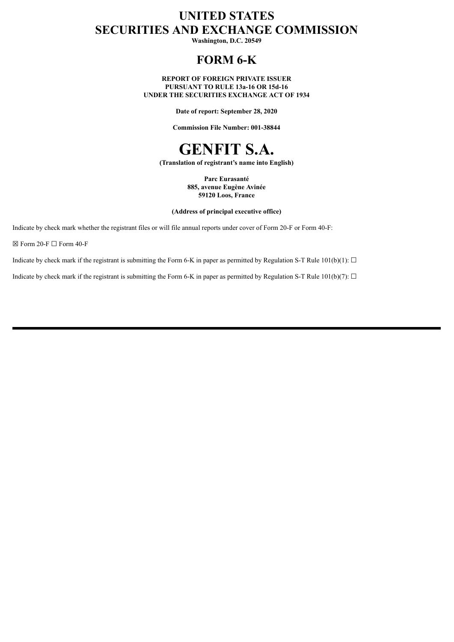# **UNITED STATES SECURITIES AND EXCHANGE COMMISSION**

**Washington, D.C. 20549**

# **FORM 6-K**

**REPORT OF FOREIGN PRIVATE ISSUER PURSUANT TO RULE 13a-16 OR 15d-16 UNDER THE SECURITIES EXCHANGE ACT OF 1934**

**Date of report: September 28, 2020**

**Commission File Number: 001-38844**



**(Translation of registrant's name into English)**

**Parc Eurasanté 885, avenue Eugène Avinée 59120 Loos, France**

**(Address of principal executive office)**

Indicate by check mark whether the registrant files or will file annual reports under cover of Form 20-F or Form 40-F:

 $\boxtimes$  Form 20-F  $\Box$  Form 40-F

Indicate by check mark if the registrant is submitting the Form 6-K in paper as permitted by Regulation S-T Rule 101(b)(1):  $\Box$ 

Indicate by check mark if the registrant is submitting the Form 6-K in paper as permitted by Regulation S-T Rule 101(b)(7):  $\Box$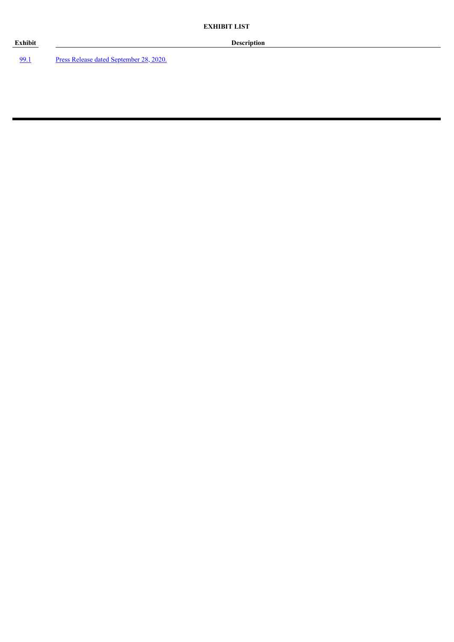[99.1](#page-3-0) Press Release dated [September](#page-3-0) 28, 2020.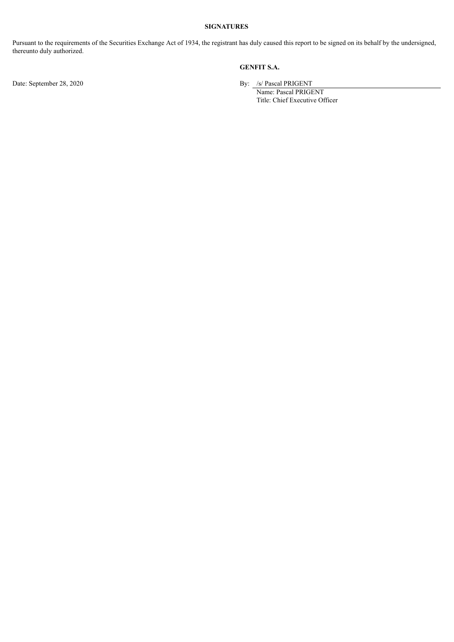### **SIGNATURES**

Pursuant to the requirements of the Securities Exchange Act of 1934, the registrant has duly caused this report to be signed on its behalf by the undersigned, thereunto duly authorized.

# **GENFIT S.A.**

Date: September 28, 2020 By: /s/ Pascal PRIGENT

Name: Pascal PRIGENT Title: Chief Executive Officer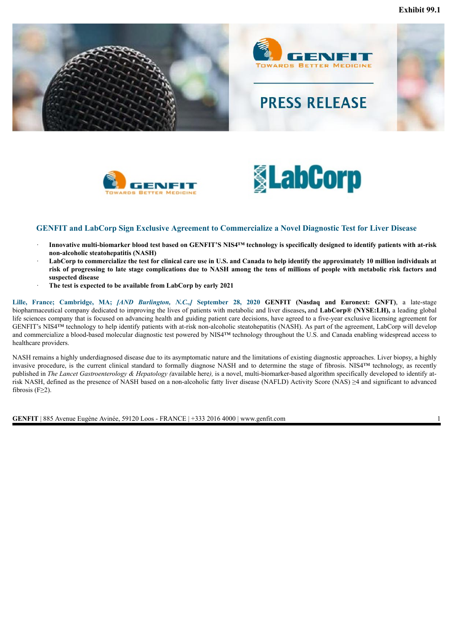<span id="page-3-0"></span>







## **GENFIT and LabCorp Sign Exclusive Agreement to Commercialize a Novel Diagnostic Test for Liver Disease**

- Innovative multi-biomarker blood test based on GENFIT'S NIS4™ technology is specifically designed to identify patients with at-risk **non-alcoholic steatohepatitis (NASH)**
- LabCorp to commercialize the test for clinical care use in U.S. and Canada to help identify the approximately 10 million individuals at risk of progressing to late stage complications due to NASH among the tens of millions of people with metabolic risk factors and **suspected disease**
- · **The test is expected to be available from LabCorp by early 2021**

Lille, France; Cambridge, MA; [AND Burlington, N.C.,] September 28, 2020 GENFIT (Nasdaq and Euronext: GNFT), a late-stage biopharmaceutical company dedicated to improving the lives of patients with metabolic and liver diseases**,** and **LabCorp® (NYSE:LH),** a leading global life sciences company that is focused on advancing health and guiding patient care decisions, have agreed to a five-year exclusive licensing agreement for GENFIT's NIS4™ technology to help identify patients with at-risk non-alcoholic steatohepatitis (NASH). As part of the agreement, LabCorp will develop and commercialize a blood-based molecular diagnostic test powered by NIS4™ technology throughout the U.S. and Canada enabling widespread access to healthcare providers.

NASH remains a highly underdiagnosed disease due to its asymptomatic nature and the limitations of existing diagnostic approaches. Liver biopsy, a highly invasive procedure, is the current clinical standard to formally diagnose NASH and to determine the stage of fibrosis. NIS4™ technology, as recently published in *The Lancet Gastroenterology & Hepatology (*available here*),* is a novel, multi-biomarker-based algorithm specifically developed to identify atrisk NASH, defined as the presence of NASH based on a non-alcoholic fatty liver disease (NAFLD) Activity Score (NAS) ≥4 and significant to advanced fibrosis ( $F \geq 2$ ).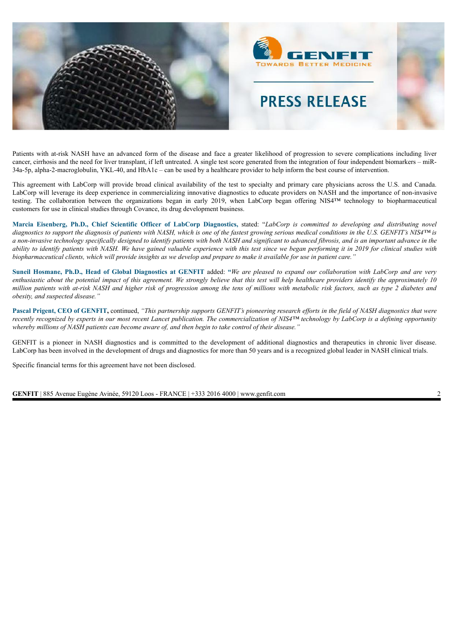

Patients with at-risk NASH have an advanced form of the disease and face a greater likelihood of progression to severe complications including liver cancer, cirrhosis and the need for liver transplant, if left untreated. A single test score generated from the integration of four independent biomarkers – miR-34a-5p, alpha-2-macroglobulin, YKL-40, and HbA1c – can be used by a healthcare provider to help inform the best course of intervention.

This agreement with LabCorp will provide broad clinical availability of the test to specialty and primary care physicians across the U.S. and Canada. LabCorp will leverage its deep experience in commercializing innovative diagnostics to educate providers on NASH and the importance of non-invasive testing. The collaboration between the organizations began in early 2019, when LabCorp began offering NIS4™ technology to biopharmaceutical customers for use in clinical studies through Covance, its drug development business.

Marcia Eisenberg, Ph.D., Chief Scientific Officer of LabCorp Diagnostics, stated: "LabCorp is committed to developing and distributing novel diagnostics to support the diagnosis of patients with NASH, which is one of the fastest growing serious medical conditions in the U.S. GENFIT's NIS4TM is a non-invasive technology specifically designed to identify patients with both NASH and significant to advanced fibrosis, and is an important advance in the ability to identify patients with NASH. We have gained valuable experience with this test since we began performing it in 2019 for clinical studies with biopharmaceutical clients, which will provide insights as we develop and prepare to make it available for use in patient care.'

Suneil Hosmane, Ph.D., Head of Global Diagnostics at GENFIT added: "We are pleased to expand our collaboration with LabCorp and are very enthusiastic about the potential impact of this agreement. We strongly believe that this test will help healthcare providers identify the approximately 10 million patients with at-risk NASH and higher risk of progression among the tens of millions with metabolic risk factors, such as type 2 diabetes and *obesity, and suspected disease."*

Pascal Prigent, CEO of GENFIT, continued, "This partnership supports GENFIT's pioneering research efforts in the field of NASH diagnostics that were recently recognized by experts in our most recent Lancet publication. The commercialization of NIS4<sup>TM</sup> technology by LabCorp is a defining opportunity whereby millions of NASH patients can become aware of, and then begin to take control of their disease."

GENFIT is a pioneer in NASH diagnostics and is committed to the development of additional diagnostics and therapeutics in chronic liver disease. LabCorp has been involved in the development of drugs and diagnostics for more than 50 years and is a recognized global leader in NASH clinical trials.

Specific financial terms for this agreement have not been disclosed.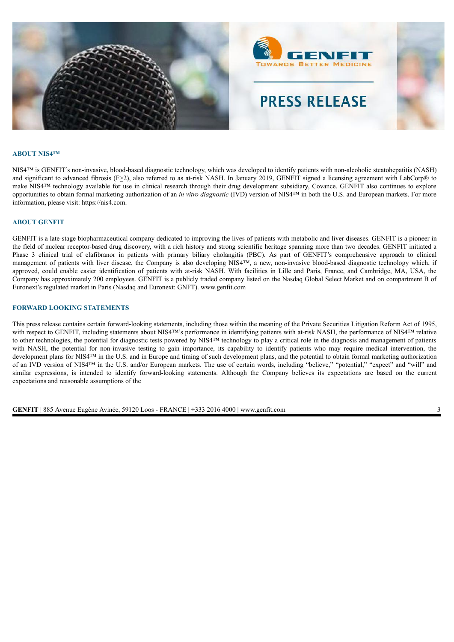

#### **ABOUT NIS4™**

NIS4<sup>™</sup> is GENFIT's non-invasive, blood-based diagnostic technology, which was developed to identify patients with non-alcoholic steatohepatitis (NASH) and significant to advanced fibrosis (F>2), also referred to as at-risk NASH. In January 2019, GENFIT signed a licensing agreement with LabCorp® to make NIS4™ technology available for use in clinical research through their drug development subsidiary, Covance. GENFIT also continues to explore opportunities to obtain formal marketing authorization of an *in vitro diagnostic* (IVD) version of NIS4™ in both the U.S. and European markets. For more information, please visit: https://nis4.com.

#### **ABOUT GENFIT**

GENFIT is a late-stage biopharmaceutical company dedicated to improving the lives of patients with metabolic and liver diseases. GENFIT is a pioneer in the field of nuclear receptor-based drug discovery, with a rich history and strong scientific heritage spanning more than two decades. GENFIT initiated a Phase 3 clinical trial of elafibranor in patients with primary biliary cholangitis (PBC). As part of GENFIT's comprehensive approach to clinical management of patients with liver disease, the Company is also developing NIS4™, a new, non-invasive blood-based diagnostic technology which, if approved, could enable easier identification of patients with at-risk NASH. With facilities in Lille and Paris, France, and Cambridge, MA, USA, the Company has approximately 200 employees. GENFIT is a publicly traded company listed on the Nasdaq Global Select Market and on compartment B of Euronext's regulated market in Paris (Nasdaq and Euronext: GNFT). www.genfit.com

#### **FORWARD LOOKING STATEMENTS**

This press release contains certain forward-looking statements, including those within the meaning of the Private Securities Litigation Reform Act of 1995, with respect to GENFIT, including statements about NIS4™'s performance in identifying patients with at-risk NASH, the performance of NIS4™ relative to other technologies, the potential for diagnostic tests powered by NIS4™ technology to play a critical role in the diagnosis and management of patients with NASH, the potential for non-invasive testing to gain importance, its capability to identify patients who may require medical intervention, the development plans for NIS4™ in the U.S. and in Europe and timing of such development plans, and the potential to obtain formal marketing authorization of an IVD version of NIS4™ in the U.S. and/or European markets. The use of certain words, including "believe," "potential," "expect" and "will" and similar expressions, is intended to identify forward-looking statements. Although the Company believes its expectations are based on the current expectations and reasonable assumptions of the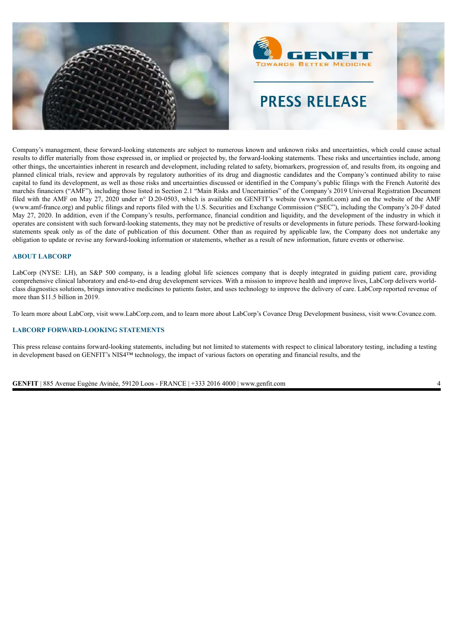

Company's management, these forward-looking statements are subject to numerous known and unknown risks and uncertainties, which could cause actual results to differ materially from those expressed in, or implied or projected by, the forward-looking statements. These risks and uncertainties include, among other things, the uncertainties inherent in research and development, including related to safety, biomarkers, progression of, and results from, its ongoing and planned clinical trials, review and approvals by regulatory authorities of its drug and diagnostic candidates and the Company's continued ability to raise capital to fund its development, as well as those risks and uncertainties discussed or identified in the Company's public filings with the French Autorité des marchés financiers ("AMF"), including those listed in Section 2.1 "Main Risks and Uncertainties" of the Company's 2019 Universal Registration Document filed with the AMF on May 27, 2020 under n° D.20-0503, which is available on GENFIT's website (www.genfit.com) and on the website of the AMF (www.amf-france.org) and public filings and reports filed with the U.S. Securities and Exchange Commission ("SEC"), including the Company's 20-F dated May 27, 2020. In addition, even if the Company's results, performance, financial condition and liquidity, and the development of the industry in which it operates are consistent with such forward-looking statements, they may not be predictive of results or developments in future periods. These forward-looking statements speak only as of the date of publication of this document. Other than as required by applicable law, the Company does not undertake any obligation to update or revise any forward-looking information or statements, whether as a result of new information, future events or otherwise.

#### **ABOUT LABCORP**

LabCorp (NYSE: LH), an S&P 500 company, is a leading global life sciences company that is deeply integrated in guiding patient care, providing comprehensive clinical laboratory and end-to-end drug development services. With a mission to improve health and improve lives, LabCorp delivers worldclass diagnostics solutions, brings innovative medicines to patients faster, and uses technology to improve the delivery of care. LabCorp reported revenue of more than \$11.5 billion in 2019.

To learn more about LabCorp, visit www.LabCorp.com, and to learn more about LabCorp's Covance Drug Development business, visit www.Covance.com.

### **LABCORP FORWARD-LOOKING STATEMENTS**

This press release contains forward-looking statements, including but not limited to statements with respect to clinical laboratory testing, including a testing in development based on GENFIT's NIS4™ technology, the impact of various factors on operating and financial results, and the